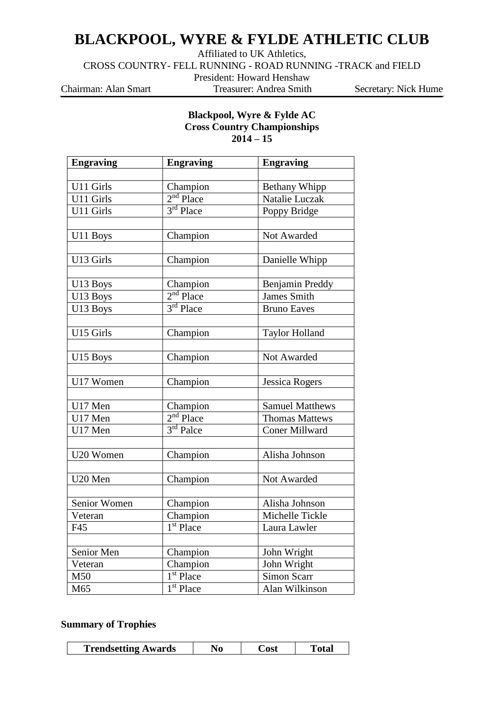## **BLACKPOOL, WYRE & FYLDE ATHLETIC CLUB**

Affiliated to UK Athletics,

CROSS COUNTRY- FELL RUNNING - ROAD RUNNING -TRACK and FIELD

President: Howard Henshaw

Chairman: Alan Smart Treasurer: Andrea Smith Secretary: Nick Hume

## **Blackpool, Wyre & Fylde AC Cross Country Championships 2014 – 15**

| <b>Engraving</b><br><b>Engraving</b> |                                                      | <b>Engraving</b>       |  |  |
|--------------------------------------|------------------------------------------------------|------------------------|--|--|
|                                      |                                                      |                        |  |  |
| U11 Girls                            | Champion                                             | Bethany Whipp          |  |  |
| U11 Girls                            | $2nd$ Place                                          | <b>Natalie Luczak</b>  |  |  |
| U11 Girls                            | 3rd Place                                            | Poppy Bridge           |  |  |
|                                      |                                                      |                        |  |  |
| U11 Boys                             | Champion                                             | Not Awarded            |  |  |
|                                      |                                                      |                        |  |  |
| U13 Girls                            | Champion                                             | Danielle Whipp         |  |  |
|                                      |                                                      |                        |  |  |
| U13 Boys                             | $\frac{\text{Champion}}{2^{\text{nd}} \text{Place}}$ | Benjamin Preddy        |  |  |
| U13 Boys                             |                                                      | <b>James Smith</b>     |  |  |
| U13 Boys                             | $3rd$ Place                                          | <b>Bruno Eaves</b>     |  |  |
|                                      |                                                      |                        |  |  |
| U15 Girls                            | Champion                                             | <b>Taylor Holland</b>  |  |  |
|                                      |                                                      |                        |  |  |
| U15 Boys                             | Champion                                             | Not Awarded            |  |  |
|                                      |                                                      |                        |  |  |
| U17 Women                            | Champion                                             | <b>Jessica Rogers</b>  |  |  |
|                                      |                                                      |                        |  |  |
| U17 Men                              | Champion                                             | <b>Samuel Matthews</b> |  |  |
| U17 Men                              | $2nd$ Place                                          | <b>Thomas Mattews</b>  |  |  |
| U17 Men                              | $3rd$ Palce                                          | <b>Coner Millward</b>  |  |  |
|                                      |                                                      |                        |  |  |
| U20 Women                            | Champion                                             | Alisha Johnson         |  |  |
|                                      |                                                      |                        |  |  |
| U20 Men                              | Champion                                             | Not Awarded            |  |  |
|                                      |                                                      |                        |  |  |
| Senior Women                         | Champion                                             | Alisha Johnson         |  |  |
| Veteran                              | Champion                                             | Michelle Tickle        |  |  |
| F45                                  | 1 <sup>st</sup> Place                                | Laura Lawler           |  |  |
|                                      |                                                      |                        |  |  |
| Senior Men                           | Champion                                             | John Wright            |  |  |
| Veteran                              | Champion                                             | John Wright            |  |  |
| M50                                  | $1st$ Place                                          | <b>Simon Scarr</b>     |  |  |
| M65                                  | 1 <sup>st</sup> Place                                | Alan Wilkinson         |  |  |

## **Summary of Trophies**

| <b>Trendsetting Awards</b> |
|----------------------------|